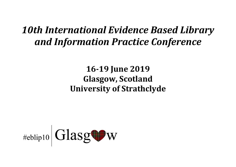# *10th International Evidence Based Library and Information Practice Conference*

## **16-19 June 2019 Glasgow, Scotland University of Strathclyde**

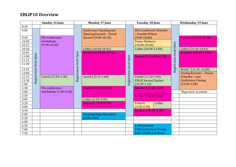## **EBLIP10 Overview**

|              | Sunday 16 June |                       | <b>Monday 17 June</b>  |                                                 | <b>Tuesday 18 June</b> |                                | <b>Wednesday 19 June</b> |                        |                                |
|--------------|----------------|-----------------------|------------------------|-------------------------------------------------|------------------------|--------------------------------|--------------------------|------------------------|--------------------------------|
| 8:30         |                |                       |                        |                                                 |                        |                                |                          |                        |                                |
| 9:00         |                |                       |                        | <b>Conference Opening and</b>                   |                        | Mid-Conference Keynote         |                          |                        |                                |
|              |                |                       |                        | <b>Opening Keynote - David</b>                  |                        | - Frankie Wilson               |                          |                        |                                |
| 9:30         |                | Pre-conference        |                        | Stewart (9:00-10:30)                            |                        | $(9:00-10:00)$                 |                          |                        | <b>Session H (9:30-10:30)</b>  |
| 10:00        |                | workshops             |                        |                                                 |                        | <b>Poster Madness</b>          |                          |                        |                                |
| 10.15        |                | $(9:30-12:30)$        |                        |                                                 |                        | $(10:00-10:30)$                |                          |                        |                                |
| 10:30        |                |                       |                        | Coffee (10:30-10:45)                            |                        | Coffee (10:30-11:00)           |                          |                        | Coffee (10:30-10:45)           |
| 10.45        |                |                       |                        | Session A (10:45-12:15)                         |                        |                                |                          |                        | Session I (10:45-11:45)        |
| 11:00        |                |                       |                        |                                                 | Open                   | <b>Session D (11:00-12:30)</b> |                          |                        |                                |
| 11.15        |                |                       |                        |                                                 |                        |                                |                          |                        |                                |
| 11:30        | Desk Open      |                       | Registration Desk Open |                                                 | Desk                   |                                |                          | Registration Desk Open |                                |
| 11.45        | Registration   |                       |                        |                                                 |                        |                                |                          |                        | Break * (11:45-12:00)          |
| 12:00        |                |                       |                        |                                                 | Registration           |                                |                          |                        | <b>Closing Keynote - Donna</b> |
| 12.15        |                | Lunch (12:30-1:30)    |                        | Lunch (12.15-1.00)                              |                        | Lunch (12:30-1:30)             |                          |                        | Scheeder - and                 |
| 12:30        |                |                       |                        |                                                 |                        | <b>EBLIP Journal Update</b>    |                          |                        | <b>Conference Closing</b>      |
| 1:00         |                |                       |                        |                                                 |                        | $(12.45 - 1.15)$               |                          |                        | $(12:00-1:30)$                 |
| 1:30         |                | Pre-conference        |                        | Session B (1:00-2:30)                           |                        | <b>Session E (1:30-2:30)</b>   |                          |                        |                                |
| 2:00         |                | workshops (1:30-4:30) |                        |                                                 |                        |                                |                          |                        | *Bag lunch available           |
| 2:30         |                |                       |                        |                                                 |                        | <b>Session F (2:30-3:30)</b>   |                          |                        |                                |
| 3:00         |                |                       |                        | Coffee (2:30-3:00)                              |                        |                                |                          |                        |                                |
| 3:30         |                |                       |                        | <b>Session C (3:00-4:30)</b>                    |                        | Coffee<br><b>Posters</b>       |                          |                        |                                |
| 4:00         |                |                       |                        |                                                 |                        | $(3:30-4:30)$                  |                          |                        |                                |
| 4:30         |                |                       |                        |                                                 |                        | <b>Session G (4:30-5:30)</b>   |                          |                        |                                |
| 5:00<br>5:30 |                |                       |                        | <b>Opening Night Reception</b><br>$(5:00-6:00)$ |                        |                                |                          |                        |                                |
| 6:00         |                |                       |                        |                                                 |                        |                                |                          |                        |                                |
| 6:30         |                |                       |                        |                                                 |                        | 6:30 Cocktails                 |                          |                        |                                |
| 7:00         |                |                       |                        |                                                 |                        | 7:00 Conference Dinner         |                          |                        |                                |
| 7:30         |                |                       |                        |                                                 |                        | 8:00 Ceilidh and dance         |                          |                        |                                |
|              |                |                       |                        |                                                 |                        |                                |                          |                        |                                |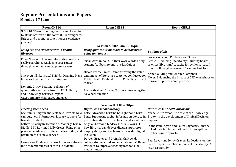#### **Keynote Presentations and Papers Monday 17 June**

| Room GH514                                                                                                                                                                       | Room GH512                                                                                                                                                                                 | Room GH513                                                                                                                                                                                    |  |  |
|----------------------------------------------------------------------------------------------------------------------------------------------------------------------------------|--------------------------------------------------------------------------------------------------------------------------------------------------------------------------------------------|-----------------------------------------------------------------------------------------------------------------------------------------------------------------------------------------------|--|--|
| 9:00-10:30am: Opening session and keynote<br>by David Stewart: "'Biblio what?' Birmingham,<br>Briggs and beyond: A practitioner's evidence<br>journey"                           |                                                                                                                                                                                            |                                                                                                                                                                                               |  |  |
|                                                                                                                                                                                  | Session A: 10:45am-12:15pm                                                                                                                                                                 |                                                                                                                                                                                               |  |  |
| Using routine evidence within health<br><b>libraries</b>                                                                                                                         | Using qualitative methods to demonstrate<br>value and impact                                                                                                                               | <b>Building skills</b>                                                                                                                                                                        |  |  |
| Chloe Stewart. How are information seekers<br>really searching? Analysing user routes<br>through an enquiry management system                                                    | Susan Archambault. In their own Words: Using<br>student feedback to improve LibGuides                                                                                                      | Lorie Kloda, Jodi Philbrick and Susan<br>Lessick. Reducing uncertainty: Building health<br>sciences librarians' capacity for evidence-based<br>practice through a Research Training Institute |  |  |
| Stacey Astill. Statistical Shields: Drawing Manx<br>libraries together in uncertain times                                                                                        | Nicola Pearce-Smith. Demonstrating the value<br>and impact of literature searches conducted for<br>Public Health England (PHE): Collecting Impact<br><b>Stories</b>                        | Anne Goulding and Jennifer Campbell-<br>Meier. Evidencing the impact of CPD workshops on<br>librarians' professional practice                                                                 |  |  |
| Dominic Gilroy. National collation of<br>quantitative evidence from an NHS Library<br>and Knowledge Services Impact<br>Questionnaire: challenges and uses                        | Louise Graham. Storing Stories - answering the<br>So What? question                                                                                                                        |                                                                                                                                                                                               |  |  |
|                                                                                                                                                                                  |                                                                                                                                                                                            |                                                                                                                                                                                               |  |  |
| <b>Session B: 1:00-2:30pm</b>                                                                                                                                                    |                                                                                                                                                                                            |                                                                                                                                                                                               |  |  |
| <b>Meeting user needs</b><br>Lee Ann Fullington and Matthew Harrick. New<br>campus, new information: Library support for<br>transfer students                                    | <b>Digital and media literacy</b><br>Katie Edwards, Christine Gallagher and Kristi<br>Long. Supporting digital information literacy in<br>post-integration Scottish health and social care | <b>New roles for health librarians</b><br>Michelle Kirkwood. The role of the Knowledge<br>Broker in the development of Clinical Decision<br>Support                                           |  |  |
| Esther E. Carrigan, Heather K. Moberly, Eric G.<br>Riddle, L.M. Rey and Molly Crews. Using pilot<br>program evidence to determine feasibility and<br>parameters of a new service | Angela Short and Lindsay McKrell. Work IT -<br>how libraries can deliver digital support for<br>employability and the lessons for wider digital<br>inclusion                               | Diane Pennington and Laura Cagnazzo. Library<br>linked data implementations and perceptions:<br>Implications for practice                                                                     |  |  |
| Laura Kuo. Evidence on how libraries enhance<br>the academic success of at-risk students                                                                                         | Doreen Bradley and Craig Smith. How do<br>college students find and evaluate news? Using<br>evidence to improve teaching methods for<br>media literacy                                     | Paul Levay and Jenny Craven. Reflections on the<br>role of expert searcher in times of uncertainty: A<br>NICE case study                                                                      |  |  |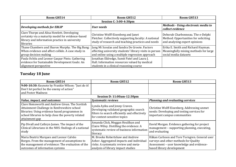| Room GH514                                                                                                                                                     | Room GH512                                                                                                                                                  | Room GH513                                                                                                 |  |  |
|----------------------------------------------------------------------------------------------------------------------------------------------------------------|-------------------------------------------------------------------------------------------------------------------------------------------------------------|------------------------------------------------------------------------------------------------------------|--|--|
| <b>Session C: 3:00-4:30pm</b>                                                                                                                                  |                                                                                                                                                             |                                                                                                            |  |  |
| Developing methods for EBLIP                                                                                                                                   | User needs                                                                                                                                                  | Methods - Using electronic media to<br>collect evidence                                                    |  |  |
| Clare Thorpe and Alisa Howlett. Developing<br>certainty via a maturity model for evidence-based<br>library and information practice in university<br>libraries | Christine Wolff-Eisenberg and Janet<br>Fletcher. Collectively supporting faculty: A national<br>study of research and teaching practices and needs          | Deborah Charbonneau. The e-Delphi<br>Method: Opportunities for soliciting<br>and analyzing expert opinions |  |  |
| Thane Chambers and Sharon Murphy. The Big Bang:<br>When evidence and affect collide. A case study in<br>group decision making                                  | Jung Mi Scoulas and Sandra De Groote. Factors<br>affecting university students' library visits in person<br>and online using a multiple regression approach | Erika E. Smith and Richard Hayman.<br>Meaningfully mixing methods for large<br>social media datasets       |  |  |
| Paula Ochôa and Leonor Gaspar Pinto. Gathering<br>evidence for Sustainable Development Goals: An<br>alignment perspective                                      | Jonathan Eldredge, Sumit Patel and Laura J.<br>Hall. Information resources valued by medical<br>students in a clinical reasoning course                     |                                                                                                            |  |  |

## **Tuesday 18 June**

| Room GH514                                                                                                                                                                                                             | Room GH512                                                                                                                                               | Room GH513                                                                                                                |
|------------------------------------------------------------------------------------------------------------------------------------------------------------------------------------------------------------------------|----------------------------------------------------------------------------------------------------------------------------------------------------------|---------------------------------------------------------------------------------------------------------------------------|
| 9:00-10:30: Keynote by Frankie Wilson: "Just do it!                                                                                                                                                                    |                                                                                                                                                          |                                                                                                                           |
| Don't let perfect be the enemy of action"                                                                                                                                                                              |                                                                                                                                                          |                                                                                                                           |
| and Poster Madness                                                                                                                                                                                                     |                                                                                                                                                          |                                                                                                                           |
|                                                                                                                                                                                                                        | <b>Session D: 11:00am-12:30pm</b>                                                                                                                        |                                                                                                                           |
| Value, impact, and outcomes                                                                                                                                                                                            | <b>Systematic reviews</b>                                                                                                                                | <b>Planning and evaluating services</b>                                                                                   |
| Clare Hemsworth and Andrew Givan. The Scottish<br>Attainment Challenge in Renfrewshire school<br>libraries: Using evidence based programmes in<br>school libraries to help close the poverty related<br>attainment gap | Lynda Ayiku and Jenny Craven.<br>Developing validated geographic search<br>filters to search efficiently and effectively<br>for context-sensitive topics | Christine Wolff-Eisenberg. Addressing unmet<br>needs: Developing and testing services for<br>important campus communities |
| Pip Divall and Cathryn James. The impact of the<br>Clinical Librarians in the NHS: findings of a national<br>study                                                                                                     | Amanda Click, Meggan Houlihan and<br>Claire Wiley. Distilling the evidence: A<br>systematic review of business information<br>literacy                   | David Morgan. Evidence gathering for project<br>management - supporting planning, executing,<br>and evaluating            |
| Maria Beatriz Marques and Leonor Calvão                                                                                                                                                                                | M. Brooke Robertshaw and Andrew                                                                                                                          | Håkan Carlsson and Tore Torngren. General user                                                                            |
| Borges. From the management of assumptions to                                                                                                                                                                          | Asher. Aggregated impacts and individual                                                                                                                 | surveys and other methods for Quality                                                                                     |
| the management of evidence: The evaluation of the                                                                                                                                                                      | risks: A systematic review and meta-                                                                                                                     | Assessment - user knowledge and evidence-                                                                                 |
| outcomes of information systems                                                                                                                                                                                        | analysis of library impact studies                                                                                                                       | based library development                                                                                                 |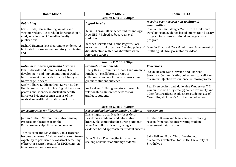| Room GH514                                                                                                                                                                                                                          | Room GH512                                                                                                                                                                                                           | Room GH513                                                                                                                                                                                                   |  |  |  |
|-------------------------------------------------------------------------------------------------------------------------------------------------------------------------------------------------------------------------------------|----------------------------------------------------------------------------------------------------------------------------------------------------------------------------------------------------------------------|--------------------------------------------------------------------------------------------------------------------------------------------------------------------------------------------------------------|--|--|--|
| <b>Session E: 1:30-2:30pm</b>                                                                                                                                                                                                       |                                                                                                                                                                                                                      |                                                                                                                                                                                                              |  |  |  |
| <b>Publishing</b>                                                                                                                                                                                                                   | <b>Digital Services</b>                                                                                                                                                                                              | Meeting user needs in non-traditional<br>communities                                                                                                                                                         |  |  |  |
| Lorie Kloda, Denise Koufogiannakis and<br>Virginia Wilson. Research for librarianship: A<br>study of a decade of Canadian faculty<br>publications                                                                                   | Karim Tharani. Of evidence and technology:<br>How EBLIP helped safeguard an oral<br>tradition                                                                                                                        | Joanna Hare and Mengjie Zou. Into the unknown:<br>Developing an evidence-based information literacy<br>program for a non-traditional undergraduate<br>program                                                |  |  |  |
| Richard Hayman. Is it illegitimate evidence? A<br>facilitated discussion on predatory publishing<br>and EBP                                                                                                                         | Kathryn Barrett and Sabina Pagotto. Local<br>users, consortial providers: Seeking points of<br>dissatisfaction with a collaborative virtual<br>reference service                                                     | Jennifer Zhao and Tara Mawhinney. Assessment of<br>multilingual library orientation videos                                                                                                                   |  |  |  |
|                                                                                                                                                                                                                                     |                                                                                                                                                                                                                      |                                                                                                                                                                                                              |  |  |  |
|                                                                                                                                                                                                                                     | <b>Session F: 2:30-3:30pm</b>                                                                                                                                                                                        |                                                                                                                                                                                                              |  |  |  |
| <b>National initiatives for health libraries</b>                                                                                                                                                                                    | <b>Graduate student needs</b>                                                                                                                                                                                        | <b>Collections</b>                                                                                                                                                                                           |  |  |  |
| Clare Edwards and Dominic Gilroy. The<br>development and implementation of Quality<br>Improvement Standards for NHS Library and<br>Knowledge Services                                                                               | Hilary Bussell, Jennifer Schnabel and Amanda<br>Rinehart. To collaborate or not to<br>collaborate: Subject librarians re-examine<br>graduate student outreach                                                        | Jaclyn Mclean, Dede Dawson and Charlene<br>Sorensen. Communicating collections cancellations<br>to campus: Qualitative evidence to inform practice                                                           |  |  |  |
| Cecily Gilbert, Kathleen Gray, Kerryn Butler-<br>Henderson and Ann Ritchie. Digital health and<br>professional identity in Australian health<br>libraries: Evidence from a census of the<br>Australian health information workforce | Joe Lenkart. Building long-term research<br>relationships: Reference services for<br>graduate students                                                                                                               | Pearl Herscovitch and Madelaine Vanderwerff. If<br>you build it, will they (really) come? Proximity and<br>other factors affecting education students' use of<br>Mount Royal Library's Curriculum Collection |  |  |  |
|                                                                                                                                                                                                                                     |                                                                                                                                                                                                                      |                                                                                                                                                                                                              |  |  |  |
|                                                                                                                                                                                                                                     | Session G, 4:30-5:30pm                                                                                                                                                                                               |                                                                                                                                                                                                              |  |  |  |
| <b>Emerging roles for librarians</b>                                                                                                                                                                                                | <b>Needs and behaviour of nursing students</b>                                                                                                                                                                       | <b>Assessment</b>                                                                                                                                                                                            |  |  |  |
| Jordan Nielsen. New Venture Librarianship:<br>Practical implications from the<br>Entrepreneurship Librarian job market                                                                                                              | Diane Ingram. User Needs - User Gets:<br>Developing academic and information<br>literacy skills modules for nursing students<br>at an Australian university, using an<br>evidence-based approach for student success | Elizabeth Brown and Maureen Rust. Creating<br>reason from results: Interpreting student<br>assessment data at scale                                                                                          |  |  |  |
| Tom Hudson and Liz Walton. Can a searcher<br>become a screener? Evidence of a search team's<br>capability to perform title/abstract screening<br>of literature search results for NICE common<br>infections evidence reviews        | Peter Stokes. Profiling the information<br>seeking behaviour of nursing students                                                                                                                                     | Sally Bell and Fiona Tinto. Developing an<br>eResources evaluation tool at the University of<br>Strathclyde                                                                                                  |  |  |  |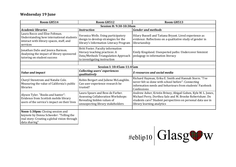#### **Wednesday 19 June**

| Room GH514                                                                                                                                   | Room GH512                                                                                                                                       | Room GH513                                                                                                                                                                                                              |
|----------------------------------------------------------------------------------------------------------------------------------------------|--------------------------------------------------------------------------------------------------------------------------------------------------|-------------------------------------------------------------------------------------------------------------------------------------------------------------------------------------------------------------------------|
|                                                                                                                                              | <b>Session H: 9:30-10:30am</b>                                                                                                                   |                                                                                                                                                                                                                         |
| <b>Academic libraries</b>                                                                                                                    | <b>Instruction</b>                                                                                                                               | <b>Gender and methods</b>                                                                                                                                                                                               |
| Laura Rocco and Elise Feltman.<br>Understanding how international students<br>interact with library spaces, staff, and<br>services           | Veronica Wells. Using participatory<br>design to develop strategies for the<br>library's Information Literacy Program                            | Hilary Bussell and Tatiana Bryant. Lived experience as<br>evidence: Reflections on a qualitative study of gender in<br>librarianship                                                                                    |
| Jonathan DaSo and Jessica Barmon.<br>Analyzing the impact of library sponsored<br>tutoring on student success                                | Britt Foster. Faculty information<br>literacy teaching practices: A<br>Data/Methods Triangulation Approach<br>to investigating instruction       | Emily Kingsland. Unexpected paths: Undercover feminist<br>pedagogy in information literacy                                                                                                                              |
|                                                                                                                                              |                                                                                                                                                  |                                                                                                                                                                                                                         |
|                                                                                                                                              | <b>Session I: 10:45am-11:45am</b>                                                                                                                |                                                                                                                                                                                                                         |
| <b>Value and impact</b>                                                                                                                      | <b>Collecting users' experiences</b><br>qualitatively                                                                                            | <b>E-resources and social media</b>                                                                                                                                                                                     |
| Cheryl Stenstrom and Natalie Cole.<br>Measuring the value of California's public<br>libraries                                                | Robin Bergart and Juliene McLaughlin.<br>Can user experience research be<br>trusted?                                                             | Richard Hayman, Erika E. Smith and Hannah Storrs. "I've<br>never felt so done with school before": Connecting<br>information needs and behaviours from students' Facebook<br>Confessions                                |
| Alyson Tyler. "Books and banter":<br>Evidence from Scottish mobile library<br>users of the service's impact on their lives                   | Laura Spears and Bess de Farber.<br><b>Assessing Collaboration Workshops:</b><br>Revealing hidden values of<br>unsuspecting library stakeholders | Andrew Asher, Kristin Briney, Abigail Goben, Kyle M. L. Jones,<br>Michael Perry, Dorthea Salo and M. Brooke Robertshaw. Do<br>students care? Student perspectives on personal data use in<br>library learning analytics |
| Noon-1:30pm: Closing session and<br>keynote by Donna Scheeder: "Telling the<br>real story: Creating a global vision through<br>data sharing" |                                                                                                                                                  |                                                                                                                                                                                                                         |

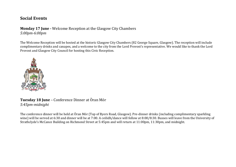#### **Social Events**

## **Monday 17 June -** Welcome Reception at the Glasgow City Chambers

*5:00pm-6:00pm*

The Welcome Reception will be hosted at the historic Glasgow City Chambers (82 George Square, Glasgow). The reception will include complimentary drinks and canapes, and a welcome to the city from the Lord Provost's representative. We would like to thank the Lord Provost and Glasgow City Council for hosting this Civic Reception.



**Tuesday 18 June** – Conference Dinner at Òran Mór *5:45pm-midnight*

The conference dinner will be held at Òran Mór (Top of Byers Road, Glasgow). Pre-dinner drinks (including complimentary sparkling wine) will be served at 6:30 and dinner will be at 7:00. A ceilidh/dance will follow at 8:00/8:30. Busses will leave from the University of Strathclyde's McCance Building on Richmond Street at 5:45pm and will return at 11:00pm, 11:30pm, and midnight.